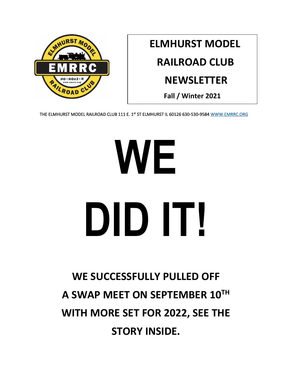

# **ELMHURST MODEL**

# **RAILROAD CLUB**

# **NEWSLETTER**

**Fall / Winter 2021**

THE ELMHURST MODEL RAILROAD CLUB 111 E. 1st ST ELMHURST IL 60126 630-530-9584 WWW.EMRRC.ORG

# **WE DID IT!**

# **WE SUCCESSFULLY PULLED OFF A SWAP MEET ON SEPTEMBER 10TH WITH MORE SET FOR 2022, SEE THE STORY INSIDE.**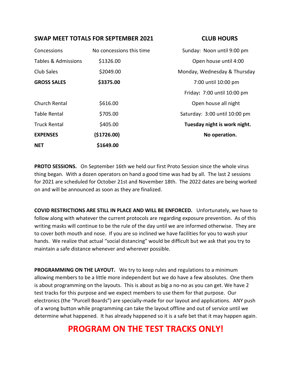### **SWAP MEET TOTALS FOR SEPTEMBER 2021 CLUB HOURS**

| Concessions         | No concessions this time | Sunday: Noon until 9:00 pm    |
|---------------------|--------------------------|-------------------------------|
| Tables & Admissions | \$1326.00                | Open house until 4:00         |
| Club Sales          | \$2049.00                | Monday, Wednesday & Thursday  |
| <b>GROSS SALES</b>  | \$3375.00                | 7:00 until 10:00 pm           |
|                     |                          | Friday: 7:00 until 10:00 pm   |
| Church Rental       | \$616.00                 | Open house all night          |
| <b>Table Rental</b> | \$705.00                 | Saturday: 3:00 until 10:00 pm |
| <b>Truck Rental</b> | \$405.00                 | Tuesday night is work night.  |
| <b>EXPENSES</b>     | (\$1726.00)              | No operation.                 |
| <b>NET</b>          | \$1649.00                |                               |

**PROTO SESSIONS.** On September 16th we held our first Proto Session since the whole virus thing began. With a dozen operators on hand a good time was had by all. The last 2 sessions for 2021 are scheduled for October 21st and November 18th. The 2022 dates are being worked on and will be announced as soon as they are finalized.

**COVID RESTRICTIONS ARE STILL IN PLACE AND WILL BE ENFORCED.** Unfortunately, we have to follow along with whatever the current protocols are regarding exposure prevention. As of this writing masks will continue to be the rule of the day until we are informed otherwise. They are to cover both mouth and nose. If you are so inclined we have facilities for you to wash your hands. We realize that actual "social distancing" would be difficult but we ask that you try to maintain a safe distance whenever and wherever possible.

**PROGRAMMING ON THE LAYOUT.** We try to keep rules and regulations to a minimum allowing members to be a little more independent but we do have a few absolutes. One them is about programming on the layouts. This is about as big a no-no as you can get. We have 2 test tracks for this purpose and we expect members to use them for that purpose. Our electronics (the "Purcell Boards") are specially-made for our layout and applications. ANY push of a wrong button while programming can take the layout offline and out of service until we determine what happened. It has already happened so it is a safe bet that it may happen again.

## **PROGRAM ON THE TEST TRACKS ONLY!**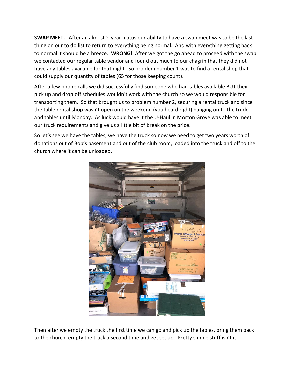**SWAP MEET.** After an almost 2-year hiatus our ability to have a swap meet was to be the last thing on our to do list to return to everything being normal. And with everything getting back to normal it should be a breeze. **WRONG!** After we got the go ahead to proceed with the swap we contacted our regular table vendor and found out much to our chagrin that they did not have any tables available for that night. So problem number 1 was to find a rental shop that could supply our quantity of tables (65 for those keeping count).

After a few phone calls we did successfully find someone who had tables available BUT their pick up and drop off schedules wouldn't work with the church so we would responsible for transporting them. So that brought us to problem number 2, securing a rental truck and since the table rental shop wasn't open on the weekend (you heard right) hanging on to the truck and tables until Monday. As luck would have it the U-Haul in Morton Grove was able to meet our truck requirements and give us a little bit of break on the price.

So let's see we have the tables, we have the truck so now we need to get two years worth of donations out of Bob's basement and out of the club room, loaded into the truck and off to the church where it can be unloaded.



Then after we empty the truck the first time we can go and pick up the tables, bring them back to the church, empty the truck a second time and get set up. Pretty simple stuff isn't it.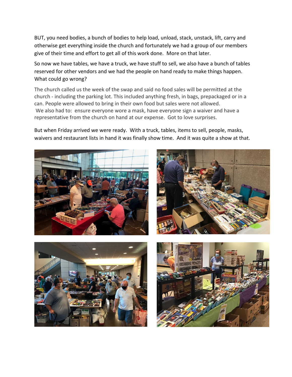BUT, you need bodies, a bunch of bodies to help load, unload, stack, unstack, lift, carry and otherwise get everything inside the church and fortunately we had a group of our members give of their time and effort to get all of this work done. More on that later.

So now we have tables, we have a truck, we have stuff to sell, we also have a bunch of tables reserved for other vendors and we had the people on hand ready to make things happen. What could go wrong?

The church called us the week of the swap and said no food sales will be permitted at the church - including the parking lot. This included anything fresh, in bags, prepackaged or in a can. People were allowed to bring in their own food but sales were not allowed. We also had to: ensure everyone wore a mask, have everyone sign a waiver and have a representative from the church on hand at our expense. Got to love surprises.

But when Friday arrived we were ready. With a truck, tables, items to sell, people, masks, waivers and restaurant lists in hand it was finally show time. And it was quite a show at that.







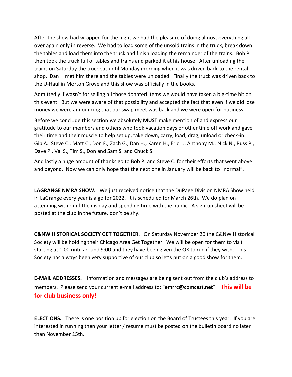After the show had wrapped for the night we had the pleasure of doing almost everything all over again only in reverse. We had to load some of the unsold trains in the truck, break down the tables and load them into the truck and finish loading the remainder of the trains. Bob P then took the truck full of tables and trains and parked it at his house. After unloading the trains on Saturday the truck sat until Monday morning when it was driven back to the rental shop. Dan H met him there and the tables were unloaded. Finally the truck was driven back to the U-Haul in Morton Grove and this show was officially in the books.

Admittedly if wasn't for selling all those donated items we would have taken a big-time hit on this event. But we were aware of that possibility and accepted the fact that even if we did lose money we were announcing that our swap meet was back and we were open for business.

Before we conclude this section we absolutely **MUST** make mention of and express our gratitude to our members and others who took vacation days or other time off work and gave their time and their muscle to help set up, take down, carry, load, drag, unload or check-in. Gib A., Steve C., Matt C., Don F., Zach G., Dan H., Karen H., Eric L., Anthony M., Nick N., Russ P., Dave P., Val S., Tim S., Don and Sam S. and Chuck S.

And lastly a huge amount of thanks go to Bob P. and Steve C. for their efforts that went above and beyond. Now we can only hope that the next one in January will be back to "normal".

**LAGRANGE NMRA SHOW.** We just received notice that the DuPage Division NMRA Show held in LaGrange every year is a go for 2022. It is scheduled for March 26th. We do plan on attending with our little display and spending time with the public. A sign-up sheet will be posted at the club in the future, don't be shy.

**C&NW HISTORICAL SOCIETY GET TOGETHER.** On Saturday November 20 the C&NW Historical Society will be holding their Chicago Area Get Together. We will be open for them to visit starting at 1:00 until around 9:00 and they have been given the OK to run if they wish. This Society has always been very supportive of our club so let's put on a good show for them.

**E-MAIL ADDRESSES.** Information and messages are being sent out from the club's address to members. Please send your current e-mail address to: "**[emrrc@comcast.net](mailto:emrrc@comcast.net)**". **This will be for club business only!**

**ELECTIONS.** There is one position up for election on the Board of Trustees this year. If you are interested in running then your letter / resume must be posted on the bulletin board no later than November 15th.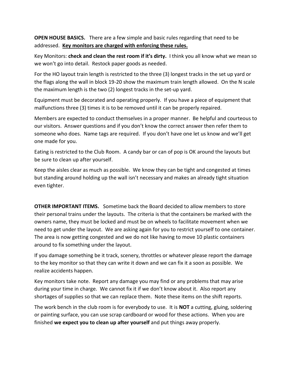**OPEN HOUSE BASICS.** There are a few simple and basic rules regarding that need to be addressed. **Key monitors are charged with enforcing these rules.**

Key Monitors: **check and clean the rest room if it's dirty.** I think you all know what we mean so we won't go into detail. Restock paper goods as needed.

For the HO layout train length is restricted to the three (3) longest tracks in the set up yard or the flags along the wall in block 19-20 show the maximum train length allowed. On the N scale the maximum length is the two (2) longest tracks in the set-up yard.

Equipment must be decorated and operating properly. If you have a piece of equipment that malfunctions three (3) times it is to be removed until it can be properly repaired.

Members are expected to conduct themselves in a proper manner. Be helpful and courteous to our visitors. Answer questions and if you don't know the correct answer then refer them to someone who does. Name tags are required. If you don't have one let us know and we'll get one made for you.

Eating is restricted to the Club Room. A candy bar or can of pop is OK around the layouts but be sure to clean up after yourself.

Keep the aisles clear as much as possible. We know they can be tight and congested at times but standing around holding up the wall isn't necessary and makes an already tight situation even tighter.

**OTHER IMPORTANT ITEMS.** Sometime back the Board decided to allow members to store their personal trains under the layouts. The criteria is that the containers be marked with the owners name, they must be locked and must be on wheels to facilitate movement when we need to get under the layout. We are asking again for you to restrict yourself to one container. The area is now getting congested and we do not like having to move 10 plastic containers around to fix something under the layout.

If you damage something be it track, scenery, throttles or whatever please report the damage to the key monitor so that they can write it down and we can fix it a soon as possible. We realize accidents happen.

Key monitors take note. Report any damage you may find or any problems that may arise during your time in charge. We cannot fix it if we don't know about it. Also report any shortages of supplies so that we can replace them. Note these items on the shift reports.

The work bench in the club room is for everybody to use. It is **NOT** a cutting, gluing, soldering or painting surface, you can use scrap cardboard or wood for these actions. When you are finished **we expect you to clean up after yourself** and put things away properly.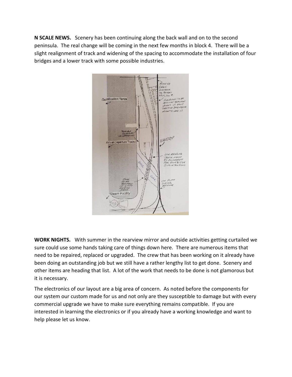**N SCALE NEWS.** Scenery has been continuing along the back wall and on to the second peninsula. The real change will be coming in the next few months in block 4. There will be a slight realignment of track and widening of the spacing to accommodate the installation of four bridges and a lower track with some possible industries.



**WORK NIGHTS.** With summer in the rearview mirror and outside activities getting curtailed we sure could use some hands taking care of things down here. There are numerous items that need to be repaired, replaced or upgraded. The crew that has been working on it already have been doing an outstanding job but we still have a rather lengthy list to get done. Scenery and other items are heading that list. A lot of the work that needs to be done is not glamorous but it is necessary.

The electronics of our layout are a big area of concern. As noted before the components for our system our custom made for us and not only are they susceptible to damage but with every commercial upgrade we have to make sure everything remains compatible. If you are interested in learning the electronics or if you already have a working knowledge and want to help please let us know.